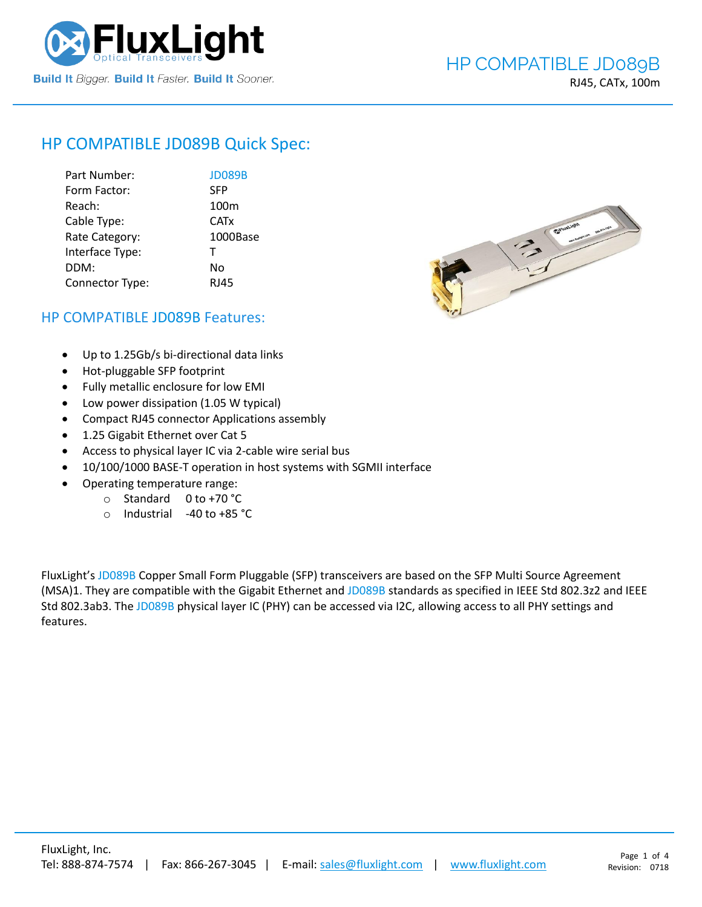

# HP COMPATIBLE [JD089B](https://www.fluxlight.com/jd089b/) Quick Spec:

| Part Number:    | <b>JD089B</b>    |
|-----------------|------------------|
| Form Factor:    | <b>SFP</b>       |
| Reach:          | 100 <sub>m</sub> |
| Cable Type:     | <b>CATx</b>      |
| Rate Category:  | 1000Base         |
| Interface Type: | $\mathsf{T}$     |
| DDM:            | N٥               |
| Connector Type: | RJ45             |



# HP COMPATIBLE [JD089B](https://www.fluxlight.com/jd089b/) Features:

- Up to 1.25Gb/s bi-directional data links
- Hot-pluggable SFP footprint
- Fully metallic enclosure for low EMI
- Low power dissipation (1.05 W typical)
- Compact RJ45 connector Applications assembly
- 1.25 Gigabit Ethernet over Cat 5
- Access to physical layer IC via 2-cable wire serial bus
- 10/100/1000 BASE-T operation in host systems with SGMII interface
- Operating temperature range:
	- o Standard 0 to +70 °C
	- o Industrial -40 to +85 °C

FluxLight's [JD089B](https://www.fluxlight.com/jd089b/) Copper Small Form Pluggable (SFP) transceivers are based on the SFP Multi Source Agreement (MSA)1. They are compatible with the Gigabit Ethernet and [JD089B](https://www.fluxlight.com/jd089b/) standards as specified in IEEE Std 802.3z2 and IEEE Std 802.3ab3. The [JD089B](https://www.fluxlight.com/jd089b/) physical layer IC (PHY) can be accessed via I2C, allowing access to all PHY settings and features.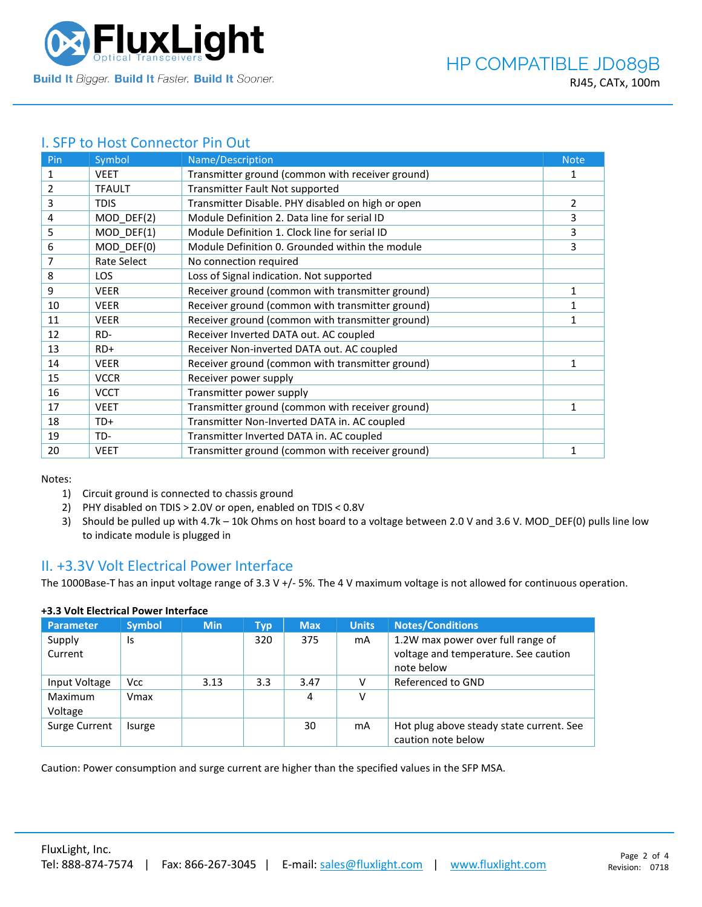

## I. SFP to Host Connector Pin Out

| Pin | Symbol        | Name/Description                                  | <b>Note</b>  |
|-----|---------------|---------------------------------------------------|--------------|
| 1   | <b>VEET</b>   | Transmitter ground (common with receiver ground)  | 1            |
| 2   | <b>TFAULT</b> | Transmitter Fault Not supported                   |              |
| 3   | <b>TDIS</b>   | Transmitter Disable. PHY disabled on high or open | 2            |
| 4   | MOD_DEF(2)    | Module Definition 2. Data line for serial ID      | 3            |
| 5   | MOD_DEF(1)    | Module Definition 1. Clock line for serial ID     | 3            |
| 6   | MOD DEF(0)    | Module Definition 0. Grounded within the module   | 3            |
| 7   | Rate Select   | No connection required                            |              |
| 8   | <b>LOS</b>    | Loss of Signal indication. Not supported          |              |
| 9   | <b>VEER</b>   | Receiver ground (common with transmitter ground)  | 1            |
| 10  | <b>VEER</b>   | Receiver ground (common with transmitter ground)  |              |
| 11  | <b>VEER</b>   | Receiver ground (common with transmitter ground)  | 1            |
| 12  | RD-           | Receiver Inverted DATA out. AC coupled            |              |
| 13  | $RD+$         | Receiver Non-inverted DATA out. AC coupled        |              |
| 14  | <b>VEER</b>   | Receiver ground (common with transmitter ground)  | 1            |
| 15  | <b>VCCR</b>   | Receiver power supply                             |              |
| 16  | <b>VCCT</b>   | Transmitter power supply                          |              |
| 17  | <b>VEET</b>   | Transmitter ground (common with receiver ground)  | 1            |
| 18  | TD+           | Transmitter Non-Inverted DATA in. AC coupled      |              |
| 19  | TD-           | Transmitter Inverted DATA in. AC coupled          |              |
| 20  | <b>VEET</b>   | Transmitter ground (common with receiver ground)  | $\mathbf{1}$ |

Notes:

- 1) Circuit ground is connected to chassis ground
- 2) PHY disabled on TDIS > 2.0V or open, enabled on TDIS < 0.8V
- 3) Should be pulled up with 4.7k 10k Ohms on host board to a voltage between 2.0 V and 3.6 V. MOD\_DEF(0) pulls line low to indicate module is plugged in

### II. +3.3V Volt Electrical Power Interface

The 1000Base-T has an input voltage range of 3.3 V +/- 5%. The 4 V maximum voltage is not allowed for continuous operation.

| <b>Parameter</b>   | <b>Symbol</b> | <b>Min</b> | Typ | <b>Max</b> | <b>Units</b> | <b>Notes/Conditions</b>                                                                 |
|--------------------|---------------|------------|-----|------------|--------------|-----------------------------------------------------------------------------------------|
| Supply<br>Current  | Is            |            | 320 | 375        | mA           | 1.2W max power over full range of<br>voltage and temperature. See caution<br>note below |
| Input Voltage      | <b>Vcc</b>    | 3.13       | 3.3 | 3.47       |              | Referenced to GND                                                                       |
| Maximum<br>Voltage | Vmax          |            |     | 4          | v            |                                                                                         |
| Surge Current      | Isurge        |            |     | 30         | mA           | Hot plug above steady state current. See<br>caution note below                          |

### **+3.3 Volt Electrical Power Interface**

Caution: Power consumption and surge current are higher than the specified values in the SFP MSA.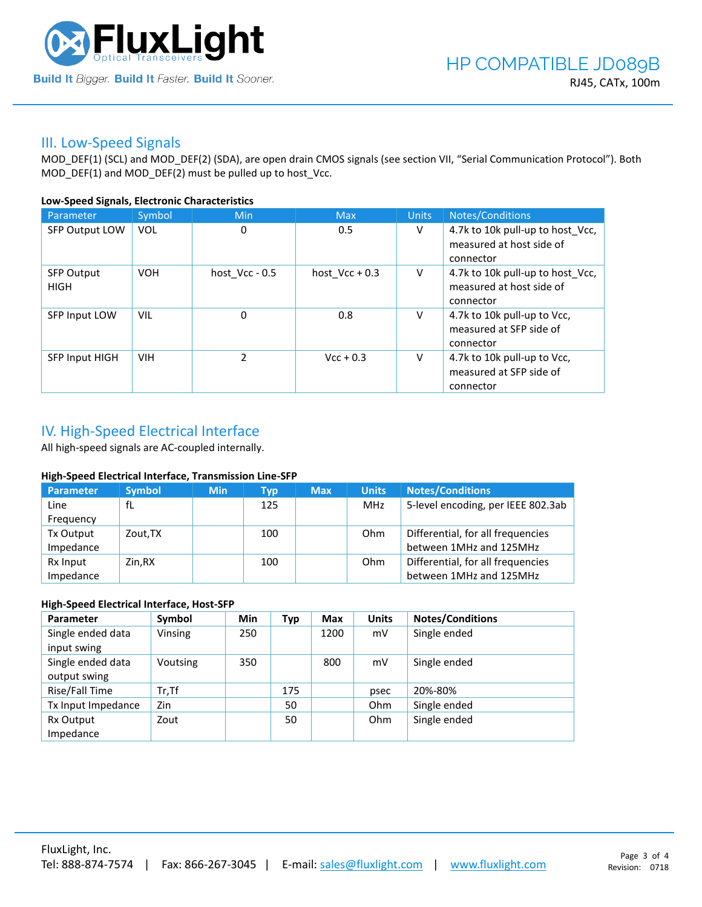

### III. Low-Speed Signals

MOD\_DEF(1) (SCL) and MOD\_DEF(2) (SDA), are open drain CMOS signals (see section VII, "Serial Communication Protocol"). Both MOD\_DEF(1) and MOD\_DEF(2) must be pulled up to host\_Vcc.

### **Low-Speed Signals, Electronic Characteristics**

| Parameter                        | Symbol     | Min              | <b>Max</b>       | <b>Units</b> | Notes/Conditions                                                          |
|----------------------------------|------------|------------------|------------------|--------------|---------------------------------------------------------------------------|
| SFP Output LOW                   | VOL        | 0                | 0.5              | V            | 4.7k to 10k pull-up to host_Vcc,<br>measured at host side of<br>connector |
| <b>SFP Output</b><br><b>HIGH</b> | <b>VOH</b> | host $Vcc - 0.5$ | host $Vcc + 0.3$ | V            | 4.7k to 10k pull-up to host Vcc,<br>measured at host side of<br>connector |
| SFP Input LOW                    | VIL        | $\mathbf 0$      | 0.8              | v            | 4.7k to 10k pull-up to Vcc,<br>measured at SFP side of<br>connector       |
| SFP Input HIGH                   | <b>VIH</b> | $\mathcal{P}$    | $Vcc + 0.3$      | V            | 4.7k to 10k pull-up to Vcc,<br>measured at SFP side of<br>connector       |

# IV. High-Speed Electrical Interface

All high-speed signals are AC-coupled internally.

### **High-Speed Electrical Interface, Transmission Line-SFP**

| Parameter | <b>Symbol</b> | <b>Min</b> | <b>Typ</b> | <b>Max</b> | <b>Units</b> | <b>Notes/Conditions</b>            |
|-----------|---------------|------------|------------|------------|--------------|------------------------------------|
| Line      | fL            |            | 125        |            | MHz          | 5-level encoding, per IEEE 802.3ab |
| Frequency |               |            |            |            |              |                                    |
| Tx Output | Zout.TX       |            | 100        |            | Ohm          | Differential, for all frequencies  |
| Impedance |               |            |            |            |              | between 1MHz and 125MHz            |
| Rx Input  | Zin,RX        |            | 100        |            | Ohm          | Differential, for all frequencies  |
| Impedance |               |            |            |            |              | between 1MHz and 125MHz            |

### **High-Speed Electrical Interface, Host-SFP**

| Parameter          | Symbol   | <b>Min</b> | <b>Typ</b> | <b>Max</b> | <b>Units</b> | <b>Notes/Conditions</b> |
|--------------------|----------|------------|------------|------------|--------------|-------------------------|
| Single ended data  | Vinsing  | 250        |            | 1200       | mV           | Single ended            |
| input swing        |          |            |            |            |              |                         |
| Single ended data  | Voutsing | 350        |            | 800        | mV           | Single ended            |
| output swing       |          |            |            |            |              |                         |
| Rise/Fall Time     | $Tr.$ Tf |            | 175        |            | psec         | 20%-80%                 |
| Tx Input Impedance | Zin      |            | 50         |            | Ohm          | Single ended            |
| Rx Output          | Zout     |            | 50         |            | Ohm          | Single ended            |
| Impedance          |          |            |            |            |              |                         |